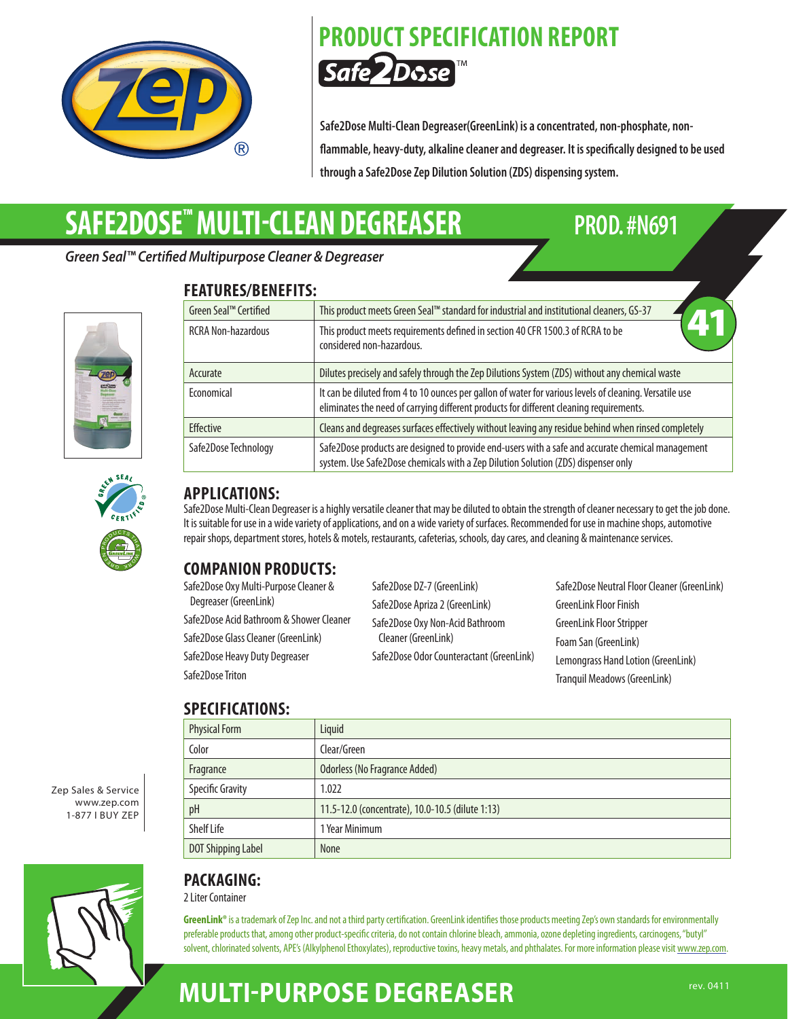

## **PRODUCT SPECIFICATION REPORT** Safe 2Dose

**Safe2Dose Multi-Clean Degreaser(GreenLink) is a concentrated, non-phosphate, nonflammable, heavy-duty, alkaline cleaner and degreaser. It is specifically designed to be used through a Safe2Dose Zep Dilution Solution (ZDS) dispensing system.**

# **SAFE2DOSE™ MULTI-CLEAN DEGREASER PROD. #N691**

**FEATURES/BENEFITS:**

*Green Seal™ Certified Multipurpose Cleaner & Degreaser*





| LAIVRL <i>y</i> / DENEI IIJ. |                                                                                                                                                                                                    |
|------------------------------|----------------------------------------------------------------------------------------------------------------------------------------------------------------------------------------------------|
| Green Seal™ Certified        | This product meets Green Seal™ standard for industrial and institutional cleaners, GS-37                                                                                                           |
| <b>RCRA Non-hazardous</b>    | This product meets requirements defined in section 40 CFR 1500.3 of RCRA to be<br>considered non-hazardous.                                                                                        |
| Accurate                     | Dilutes precisely and safely through the Zep Dilutions System (ZDS) without any chemical waste                                                                                                     |
| Economical                   | It can be diluted from 4 to 10 ounces per gallon of water for various levels of cleaning. Versatile use<br>eliminates the need of carrying different products for different cleaning requirements. |
| <b>Effective</b>             | Cleans and degreases surfaces effectively without leaving any residue behind when rinsed completely                                                                                                |
| Safe2Dose Technology         | Safe2Dose products are designed to provide end-users with a safe and accurate chemical management<br>system. Use Safe2Dose chemicals with a Zep Dilution Solution (ZDS) dispenser only             |



#### **APPLICATIONS:**

Safe2Dose Multi-Clean Degreaser is a highly versatile cleaner that may be diluted to obtain the strength of cleaner necessary to get the job done. It is suitable for use in a wide variety of applications, and on a wide variety of surfaces. Recommended for use in machine shops, automotive repair shops, department stores, hotels & motels, restaurants, cafeterias, schools, day cares, and cleaning & maintenance services.

### **COMPANION PRODUCTS:**

Safe2Dose Oxy Multi-Purpose Cleaner & Degreaser (GreenLink) Safe2Dose Acid Bathroom & Shower Cleaner Safe2Dose Glass Cleaner (GreenLink) Safe2Dose Heavy Duty Degreaser Safe2Dose Triton Safe2Dose DZ-7 (GreenLink) Safe2Dose Apriza 2 (GreenLink) Safe2Dose Oxy Non-Acid Bathroom Cleaner (GreenLink) Safe2Dose Odor Counteractant (GreenLink) Safe2Dose Neutral Floor Cleaner (GreenLink) GreenLink Floor Finish GreenLink Floor Stripper Foam San (GreenLink) Lemongrass Hand Lotion (GreenLink) Tranquil Meadows (GreenLink)

## **SPECIFICATIONS:**

| JE LUIFIUAI IUNJ.         |                                                  |
|---------------------------|--------------------------------------------------|
| <b>Physical Form</b>      | Liquid                                           |
| Color                     | Clear/Green                                      |
| Fragrance                 | Odorless (No Fragrance Added)                    |
| <b>Specific Gravity</b>   | 1.022                                            |
| pH                        | 11.5-12.0 (concentrate), 10.0-10.5 (dilute 1:13) |
| <b>Shelf Life</b>         | 1 Year Minimum                                   |
| <b>DOT Shipping Label</b> | <b>None</b>                                      |





### **PACKAGING:**

2 Liter Container

GreenLink® is a trademark of Zep Inc. and not a third party certification. GreenLink identifies those products meeting Zep's own standards for environmentally preferable products that, among other product-specific criteria, do not contain chlorine bleach, ammonia, ozone depleting ingredients, carcinogens, "butyl" solvent, chlorinated solvents, APE's (Alkylphenol Ethoxylates), reproductive toxins, heavy metals, and phthalates. For more information please visit www.zep.com.

## **MULTI-PURPOSE DEGREASER**